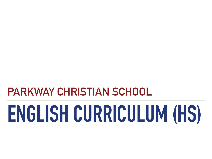**PARKWAY CHRISTIAN SCHOOL**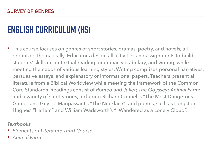‣ This course focuses on genres of short stories, dramas, poetry, and novels, all organized thematically. Educators design all activities and assignments to build students' skills in contextual reading, grammar, vocabulary, and writing, while meeting the needs of various learning styles. Writing comprises personal narratives, persuasive essays, and explanatory or informational papers. Teachers present all literature from a Biblical Worldview while meeting the framework of the Common Core Standards. Readings consist of *Romeo and Juliet*; *The Odyssey*; *Animal Farm;* and a variety of short stories, including Richard Connell's "The Most Dangerous Game" and Guy de Maupassant's "The Necklace"; and poems, such as Langston Hughes' "Harlem" and William Wadsworth's "I Wandered as a Lonely Cloud".

- ‣ *Elements of Literature Third Course*
- ‣ *Animal Farm*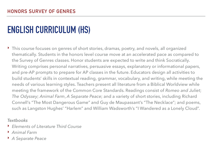‣ This course focuses on genres of short stories, dramas, poetry, and novels, all organized thematically. Students in the honors level course move at an accelerated pace as compared to the Survey of Genres classes. Honor students are expected to write and think Socratically. Writing comprises personal narratives, persuasive essays, explanatory or informational papers, and pre-AP prompts to prepare for AP classes in the future. Educators design all activities to build students' skills in contextual reading, grammar, vocabulary, and writing, while meeting the needs of various learning styles. Teachers present all literature from a Biblical Worldview while meeting the framework of the Common Core Standards. Readings consist of *Romeo and Juliet*; *The Odyssey*; *Animal Farm*, *A Separate Peace*; and a variety of short stories, including Richard Connell's "The Most Dangerous Game" and Guy de Maupassant's "The Necklace"; and poems, such as Langston Hughes' "Harlem" and William Wadsworth's "I Wandered as a Lonely Cloud".

- ‣ *Elements of Literature Third Course*
- ‣ *Animal Farm*
- ‣ *A Separate Peace*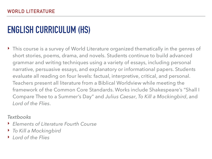‣ This course is a survey of World Literature organized thematically in the genres of short stories, poems, drama, and novels. Students continue to build advanced grammar and writing techniques using a variety of essays, including personal narrative, persuasive essays, and explanatory or informational papers. Students evaluate all reading on four levels: factual, interpretive, critical, and personal. Teachers present all literature from a Biblical Worldview while meeting the framework of the Common Core Standards. Works include Shakespeare's "Shall I Compare Thee to a Summer's Day" and *Julius Caesar*, *To Kill a Mockingbird*, and *Lord of the Flies*.

- ‣ *Elements of Literature Fourth Course*
- ‣ *To Kill a Mockingbird*
- ‣ *Lord of the Flies*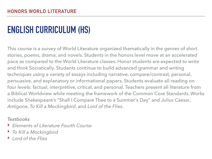This course is a survey of World Literature organized thematically in the genres of short stories, poems, drama, and novels. Students in the honors level move at an accelerated pace as compared to the World Literature classes. Honor students are expected to write and think Socratically. Students continue to build advanced grammar and writing techniques using a variety of essays including narrative, compare/contrast, personal, persuasive, and explanatory or informational papers. Students evaluate all reading on four levels: factual, interpretive, critical, and personal. Teachers present all literature from a Biblical Worldview while meeting the framework of the Common Core Standards. Works include Shakespeare's "Shall I Compare Thee to a Summer's Day" and *Julius Caesar*, *Antigone*, *To Kill a Mockingbird*, and *Lord of the Flies*.

- ‣ *Elements of Literature Fourth Course*
- ‣ *To Kill a Mockingbird*
- ‣ *Lord of the Flies*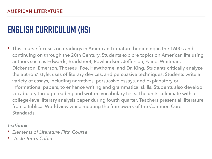‣ This course focuses on readings in American Literature beginning in the 1600s and continuing on through the 20th Century. Students explore topics on American life using authors such as Edwards, Bradstreet, Rowlandson, Jefferson, Paine, Whitman, Dickenson, Emerson, Thoreau, Poe, Hawthorne, and Dr. King. Students critically analyze the authors' style, uses of literary devices, and persuasive techniques. Students write a variety of essays, including narratives, persuasive essays, and explanatory or informational papers, to enhance writing and grammatical skills. Students also develop vocabulary through reading and written vocabulary tests. The units culminate with a college-level literary analysis paper during fourth quarter. Teachers present all literature from a Biblical Worldview while meeting the framework of the Common Core Standards.

- ‣ *Elements of Literature Fifth Course*
- ‣ *Uncle Tom's Cabin*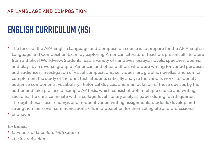$\blacktriangleright$  The focus of the AP® English Language and Composition course is to prepare for the AP ® English Language and Composition Exam by exploring American Literature. Teachers present all literature from a Biblical Worldview. Students read a variety of narratives, essays, novels, speeches, poems, and plays by a diverse group of American and other authors who were writing for varied purposes and audiences. Investigation of visual compositions, i.e. videos, art, graphic novellas, and comics complement the study of the print text. Students critically analyze the various works to identify audience components, vocabulary, rhetorical devices, and manipulation of those devices by the author and take practice or sample AP tests, which consist of both multiple choice and writing sections. The units culminate with a college-level literary analysis paper during fourth quarter. Through these close readings and frequent varied writing assignments, students develop and strengthen their own communication skills in preparation for their collegiate and professional ‣ endeavors.

- ‣ *Elements of Literature Fifth Course*
- ‣ *The Scarlet Letter*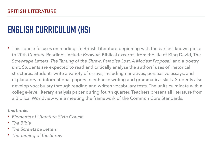‣ This course focuses on readings in British Literature beginning with the earliest known piece to 20th Century. Readings include *Beowulf*, Biblical excerpts from the life of King David, The *Screwtape Letters*, *The Taming of the Shrew*, *Paradise Lost*, *A Modest Proposal*, and a poetry unit. Students are expected to read and critically analyze the authors' uses of rhetorical structures. Students write a variety of essays, including narratives, persuasive essays, and explanatory or informational papers to enhance writing and grammatical skills. Students also develop vocabulary through reading and written vocabulary tests. The units culminate with a college-level literary analysis paper during fourth quarter. Teachers present all literature from a Biblical Worldview while meeting the framework of the Common Core Standards.

- ‣ *Elements of Literature Sixth Course*
- ‣ *The Bible*
- ‣ *The Screwtape Letters*
- ‣ *The Taming of the Shrew*